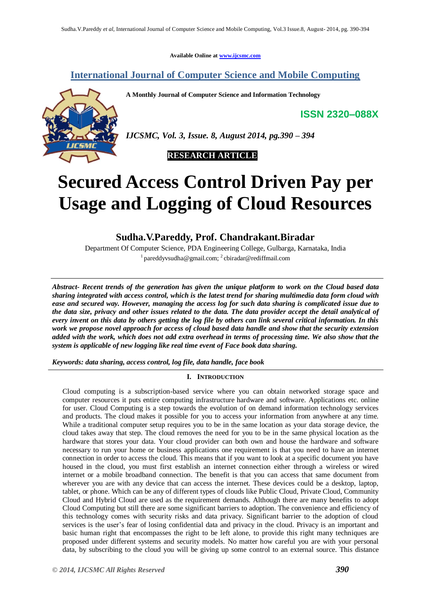**Available Online at [www.ijcsmc.com](http://www.ijcsmc.com/)**

# **International Journal of Computer Science and Mobile Computing**

**A Monthly Journal of Computer Science and Information Technology**

**ISSN 2320–088X**



*IJCSMC, Vol. 3, Issue. 8, August 2014, pg.390 – 394*



# **Secured Access Control Driven Pay per Usage and Logging of Cloud Resources**

# **Sudha.V.Pareddy, Prof. Chandrakant.Biradar**

Department Of Computer Science, PDA Engineering College, Gulbarga, Karnataka, India <sup>1</sup> pareddyvsudha@gmail.com; <sup>2</sup> cbiradar@rediffmail.com

*Abstract- Recent trends of the generation has given the unique platform to work on the Cloud based data sharing integrated with access control, which is the latest trend for sharing multimedia data form cloud with ease and secured way. However, managing the access log for such data sharing is complicated issue due to the data size, privacy and other issues related to the data. The data provider accept the detail analytical of every invent on this data by others getting the log file by others can link several critical information. In this work we propose novel approach for access of cloud based data handle and show that the security extension added with the work, which does not add extra overhead in terms of processing time. We also show that the system is applicable of new logging like real time event of Face book data sharing.*

*Keywords: data sharing, access control, log file, data handle, face book*

# **I. INTRODUCTION**

Cloud computing is a subscription-based service where you can obtain networked storage space and computer resources it puts entire computing infrastructure hardware and software. Applications etc. online for user. Cloud Computing is a step towards the evolution of on demand information technology services and products. The cloud makes it possible for you to access your information from anywhere at any time. While a traditional computer setup requires you to be in the same location as your data storage device, the cloud takes away that step. The cloud removes the need for you to be in the same physical location as the hardware that stores your data. Your cloud provider can both own and house the hardware and software necessary to run your home or business applications one requirement is that you need to have an internet connection in order to access the cloud. This means that if you want to look at a specific document you have housed in the cloud, you must first establish an internet connection either through a wireless or wired internet or a mobile broadband connection. The benefit is that you can access that same document from wherever you are with any device that can access the internet. These devices could be a desktop, laptop, tablet, or phone. Which can be any of different types of clouds like Public Cloud, Private Cloud, Community Cloud and Hybrid Cloud are used as the requirement demands. Although there are many benefits to adopt Cloud Computing but still there are some significant barriers to adoption. The convenience and efficiency of this technology comes with security risks and data privacy. Significant barrier to the adoption of cloud services is the user's fear of losing confidential data and privacy in the cloud. Privacy is an important and basic human right that encompasses the right to be left alone, to provide this right many techniques are proposed under different systems and security models. No matter how careful you are with your personal data, by subscribing to the cloud you will be giving up some control to an external source. This distance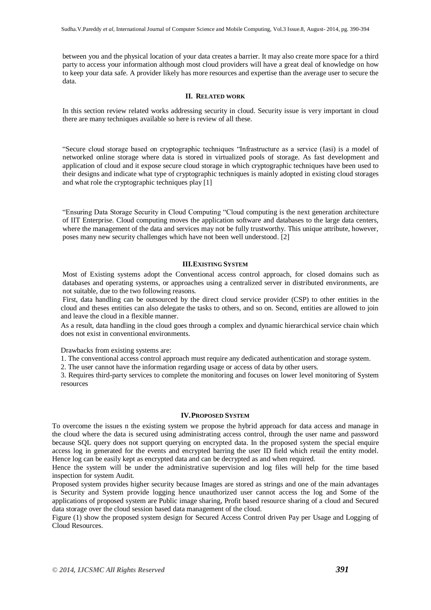between you and the physical location of your data creates a barrier. It may also create more space for a third party to access your information although most cloud providers will have a great deal of knowledge on how to keep your data safe. A provider likely has more resources and expertise than the average user to secure the data.

### **II. RELATED WORK**

In this section review related works addressing security in cloud. Security issue is very important in cloud there are many techniques available so here is review of all these.

"Secure cloud storage based on cryptographic techniques "Infrastructure as a service (Iasi) is a model of networked online storage where data is stored in virtualized pools of storage. As fast development and application of cloud and it expose secure cloud storage in which cryptographic techniques have been used to their designs and indicate what type of cryptographic techniques is mainly adopted in existing cloud storages and what role the cryptographic techniques play [1]

"Ensuring Data Storage Security in Cloud Computing "Cloud computing is the next generation architecture of IIT Enterprise. Cloud computing moves the application software and databases to the large data centers, where the management of the data and services may not be fully trustworthy. This unique attribute, however, poses many new security challenges which have not been well understood. [2]

#### **III.EXISTING SYSTEM**

Most of Existing systems adopt the Conventional access control approach, for closed domains such as databases and operating systems, or approaches using a centralized server in distributed environments, are not suitable, due to the two following reasons.

First, data handling can be outsourced by the direct cloud service provider (CSP) to other entities in the cloud and theses entities can also delegate the tasks to others, and so on. Second, entities are allowed to join and leave the cloud in a flexible manner.

As a result, data handling in the cloud goes through a complex and dynamic hierarchical service chain which does not exist in conventional environments.

Drawbacks from existing systems are:

1. The conventional access control approach must require any dedicated authentication and storage system.

2. The user cannot have the information regarding usage or access of data by other users.

3. Requires third-party services to complete the monitoring and focuses on lower level monitoring of System resources

#### **IV.PROPOSED SYSTEM**

To overcome the issues n the existing system we propose the hybrid approach for data access and manage in the cloud where the data is secured using administrating access control, through the user name and password because SQL query does not support querying on encrypted data. In the proposed system the special enquire access log in generated for the events and encrypted barring the user ID field which retail the entity model. Hence log can be easily kept as encrypted data and can be decrypted as and when required.

Hence the system will be under the administrative supervision and log files will help for the time based inspection for system Audit.

Proposed system provides higher security because Images are stored as strings and one of the main advantages is Security and System provide logging hence unauthorized user cannot access the log and Some of the applications of proposed system are Public image sharing, Profit based resource sharing of a cloud and Secured data storage over the cloud session based data management of the cloud.

Figure (1) show the proposed system design for Secured Access Control driven Pay per Usage and Logging of Cloud Resources.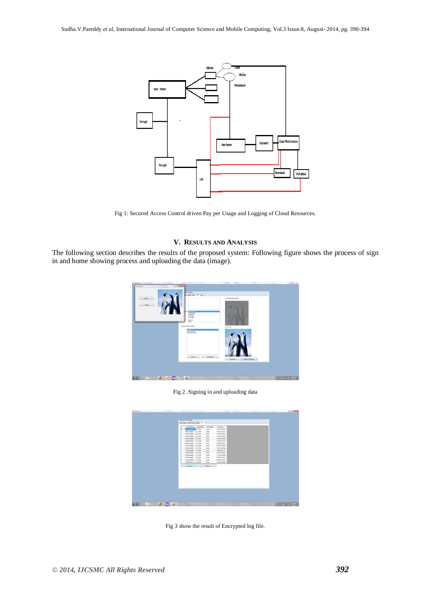

Fig 1: Secured Access Control driven Pay per Usage and Logging of Cloud Resources.

# **V. RESULTS AND ANALYSIS**

The following section describes the results of the proposed system: Following figure shows the process of sign in and home showing process and uploading the data (image).



Fig 2 .Signing in and uploading data

|   |                                       | Accessed Printed - Accessed Date                                                                                                                                                                                                                                                                                                                                                                                                                                                                                  | Accessible    | Access Type         |  |  |
|---|---------------------------------------|-------------------------------------------------------------------------------------------------------------------------------------------------------------------------------------------------------------------------------------------------------------------------------------------------------------------------------------------------------------------------------------------------------------------------------------------------------------------------------------------------------------------|---------------|---------------------|--|--|
| ٠ | <b><i><u>DESANDED 16</u> 2014</i></b> |                                                                                                                                                                                                                                                                                                                                                                                                                                                                                                                   | <b>Scott</b>  | ENGINEERING         |  |  |
|   | Chica Alege (ELL., 2.6, 2014)         |                                                                                                                                                                                                                                                                                                                                                                                                                                                                                                                   | <b>Inpert</b> | Stibuartas-dit.     |  |  |
|   | Chica Linguistic  2 E. 2014           |                                                                                                                                                                                                                                                                                                                                                                                                                                                                                                                   | ista.         | <b>LY/Gener/McK</b> |  |  |
|   | Glash agelEU. 2.6.2014                |                                                                                                                                                                                                                                                                                                                                                                                                                                                                                                                   | sale.         | EV/Zieme/2MVK       |  |  |
|   | Chakipatti 2.6,204                    |                                                                                                                                                                                                                                                                                                                                                                                                                                                                                                                   | lass.         | <b>LISTENHOUSE</b>  |  |  |
|   |                                       |                                                                                                                                                                                                                                                                                                                                                                                                                                                                                                                   | stáu          | SYZNATISHES.        |  |  |
|   |                                       |                                                                                                                                                                                                                                                                                                                                                                                                                                                                                                                   | was.          | <b>NONNATION</b>    |  |  |
|   |                                       | 05x4 egg 021 2.5 2014<br>Chica Linguistic 2. E. 2014<br>Maskagetti, 14,204<br><b>LUCCHING RAK</b><br>phone.<br>Microsoft 1, 1, 214<br>ENGINEERING<br><b>Internal</b><br>Chica Lisgalitti 3.6.2014<br>SUMPTHEST.<br><b>STORY</b><br>Olkakispilli 1.6,204<br>extrement.<br><b>COM</b><br>65baA1quill 1.5,2014<br><b>Voltamorphon</b><br>rown<br><b>Chicakingstitt</b> , 1.6,2014<br>praumates.<br>news<br>Chica-VagelEtz. 1.6, 2014<br>KOSNYKTAJE<br><b>SOFT</b><br>WWX2vflo-YL 2.5,2014<br><b>INSOMMERS</b><br>dow |               |                     |  |  |
|   |                                       |                                                                                                                                                                                                                                                                                                                                                                                                                                                                                                                   |               |                     |  |  |
|   |                                       |                                                                                                                                                                                                                                                                                                                                                                                                                                                                                                                   |               |                     |  |  |
|   |                                       |                                                                                                                                                                                                                                                                                                                                                                                                                                                                                                                   |               |                     |  |  |
|   |                                       |                                                                                                                                                                                                                                                                                                                                                                                                                                                                                                                   |               |                     |  |  |
|   |                                       |                                                                                                                                                                                                                                                                                                                                                                                                                                                                                                                   |               |                     |  |  |
|   |                                       |                                                                                                                                                                                                                                                                                                                                                                                                                                                                                                                   |               |                     |  |  |
|   |                                       |                                                                                                                                                                                                                                                                                                                                                                                                                                                                                                                   |               |                     |  |  |
|   | Vevilage                              | $\rightarrow$                                                                                                                                                                                                                                                                                                                                                                                                                                                                                                     | Decret        |                     |  |  |

Fig 3 show the result of Encrypted log file.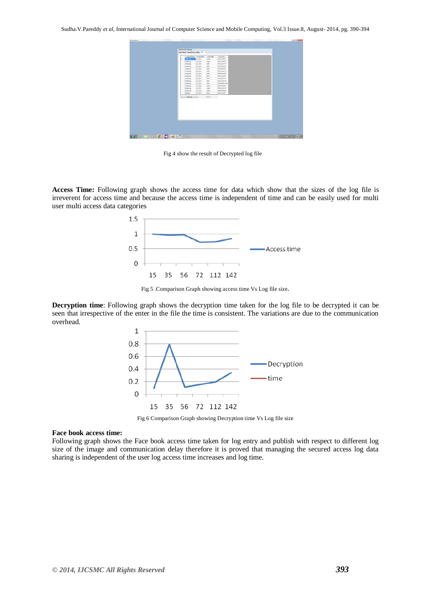|    | Accessor(Protect) Accessor(Cotto |            | <b>Accessod</b> By | Accession       |  |  |
|----|----------------------------------|------------|--------------------|-----------------|--|--|
| ı. | --                               | 2.6.2014   | <b>Value</b>       | LONE GUALITY    |  |  |
|    | change on                        | 2,6,2014   | <b>FAST</b>        | HIGH QUILITY    |  |  |
|    | change ing                       | 2, 6, 2014 | less.              | LOST DUALITY    |  |  |
|    | changegra                        | 2.4.2014   | idda.              | LON QUALITY     |  |  |
|    | changing                         | 2,8,2014   | less.              | LOW QUALITY     |  |  |
|    | changelog                        | 2,6,2014   | less:              | HOH GUILITY     |  |  |
|    | change pg                        | 2.6,2014   | <b>Lessa</b>       | COWNLOADED      |  |  |
|    | changegig                        | 1.6.2014   | <b>Show</b>        | LOW GUAUTY      |  |  |
|    | chema ins                        | 1,6,2214   | of men             | LON DUAUTY      |  |  |
|    | chargeing                        | 2.8.2014   | <b>Area</b>        | HIGH GUILITY    |  |  |
|    | charge pg                        | 1.6.2014   | 3000               | PUBLISHED IN FB |  |  |
|    | chevaring                        | 1.6.2014   | <b>Figure</b>      | LOW QUALITY     |  |  |
|    | change are                       | 1,6,2314   | <b>Inpert</b>      | HIGH GUILITY    |  |  |
|    | change pg                        | 1,6,2014   | <b>Faper</b>       | DOWNLOADED      |  |  |
|    | <b><i><u>Nonlege</u></i></b>     | 2.6.2014   | <b>Stone</b>       | LOW_DERLITY     |  |  |
|    | Men Log                          |            |                    |                 |  |  |

Fig 4 show the result of Decrypted log file

**Access Time:** Following graph shows the access time for data which show that the sizes of the log file is irreverent for access time and because the access time is independent of time and can be easily used for multi user multi access data categories



Fig 5 .Comparison Graph showing access time Vs Log file size.

**Decryption time**: Following graph shows the decryption time taken for the log file to be decrypted it can be seen that irrespective of the enter in the file the time is consistent. The variations are due to the communication overhead.



Fig 6 Comparison Graph showing Decryption time Vs Log file size

#### **Face book access time:**

Following graph shows the Face book access time taken for log entry and publish with respect to different log size of the image and communication delay therefore it is proved that managing the secured access log data sharing is independent of the user log access time increases and log time.